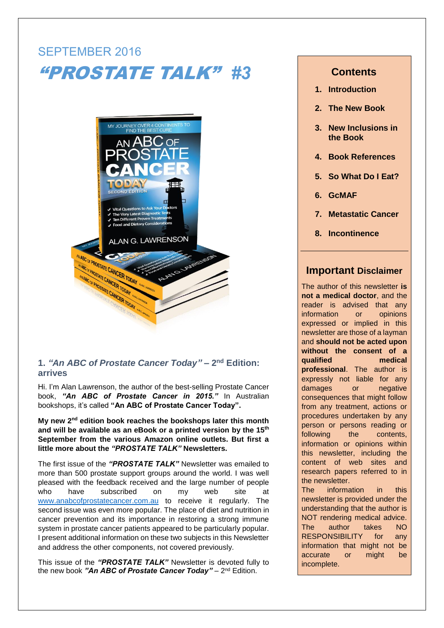# SEPTEMBER 2016 "PROSTATE TALK" *#3*



## **1.** *"An ABC of Prostate Cancer Today"* **– 2 nd Edition: arrives**

Hi. I'm Alan Lawrenson, the author of the best-selling Prostate Cancer book, *"An ABC of Prostate Cancer in 2015."* In Australian bookshops, it's called **"An ABC of Prostate Cancer Today".**

My new 2<sup>nd</sup> edition book reaches the bookshops later this month **and will be available as an eBook or a printed version by the 15th September from the various Amazon online outlets. But first a little more about the** *"PROSTATE TALK"* **Newsletters.**

The first issue of the *"PROSTATE TALK"* Newsletter was emailed to more than 500 prostate support groups around the world. I was well pleased with the feedback received and the large number of people who have subscribed on my web site at [www.anabcofprostatecancer.com.au](http://www.anabcofprostatecancer.com.au/) to receive it regularly. The second issue was even more popular. The place of diet and nutrition in cancer prevention and its importance in restoring a strong immune system in prostate cancer patients appeared to be particularly popular. I present additional information on these two subjects in this Newsletter and address the other components, not covered previously.

This issue of the *"PROSTATE TALK"* Newsletter is devoted fully to the new book "An ABC of Prostate Cancer Today" – 2<sup>nd</sup> Edition.

# **Contents**

- **1. Introduction**
- **2. The New Book**
- **3. New Inclusions in the Book**
- **4. Book References**
- **5. So What Do I Eat?**
- **6. GcMAF**
- **7. Metastatic Cancer**
- **8. Incontinence**

## **Important Disclaimer**

The author of this newsletter **is not a medical doctor**, and the reader is advised that any information or opinions expressed or implied in this newsletter are those of a layman and **should not be acted upon without the consent of a qualified medical professional**. The author is expressly not liable for any damages or negative consequences that might follow from any treatment, actions or procedures undertaken by any person or persons reading or following the contents, information or opinions within this newsletter, including the content of web sites and research papers referred to in the newsletter.

The information in this newsletter is provided under the understanding that the author is NOT rendering medical advice. The author takes NO RESPONSIBILITY for any information that might not be accurate or might be incomplete.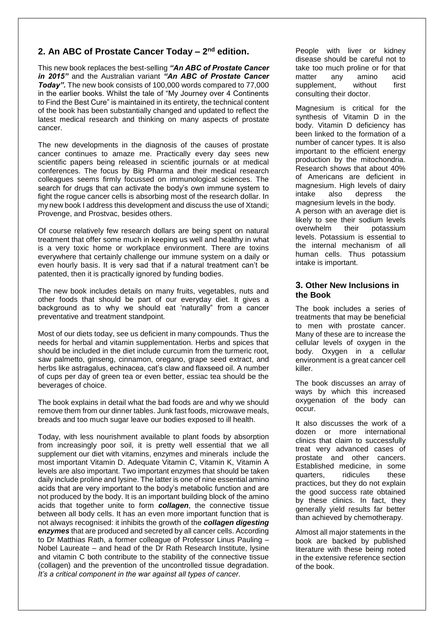## **2. An ABC of Prostate Cancer Today – 2 nd edition.**

This new book replaces the best-selling *"An ABC of Prostate Cancer in 2015"* and the Australian variant *"An ABC of Prostate Cancer Today".* The new book consists of 100,000 words compared to 77,000 in the earlier books. Whilst the tale of "My Journey over 4 Continents to Find the Best Cure" is maintained in its entirety, the technical content of the book has been substantially changed and updated to reflect the latest medical research and thinking on many aspects of prostate cancer.

The new developments in the diagnosis of the causes of prostate cancer continues to amaze me. Practically every day sees new scientific papers being released in scientific journals or at medical conferences. The focus by Big Pharma and their medical research colleagues seems firmly focussed on immunological sciences. The search for drugs that can activate the body's own immune system to fight the rogue cancer cells is absorbing most of the research dollar. In my new book I address this development and discuss the use of Xtandi; Provenge, and Prostvac, besides others.

Of course relatively few research dollars are being spent on natural treatment that offer some much in keeping us well and healthy in what is a very toxic home or workplace environment. There are toxins everywhere that certainly challenge our immune system on a daily or even hourly basis. It is very sad that if a natural treatment can't be patented, then it is practically ignored by funding bodies.

The new book includes details on many fruits, vegetables, nuts and other foods that should be part of our everyday diet. It gives a background as to why we should eat 'naturally" from a cancer preventative and treatment standpoint.

Most of our diets today, see us deficient in many compounds. Thus the needs for herbal and vitamin supplementation. Herbs and spices that should be included in the diet include curcumin from the turmeric root, saw palmetto, ginseng, cinnamon, oregano, grape seed extract, and herbs like astragalus, echinacea, cat's claw and flaxseed oil. A number of cups per day of green tea or even better, essiac tea should be the beverages of choice.

The book explains in detail what the bad foods are and why we should remove them from our dinner tables. Junk fast foods, microwave meals, breads and too much sugar leave our bodies exposed to ill health.

Today, with less nourishment available to plant foods by absorption from increasingly poor soil, it is pretty well essential that we all supplement our diet with vitamins, enzymes and minerals include the most important Vitamin D. Adequate Vitamin C, Vitamin K, Vitamin A levels are also important. Two important enzymes that should be taken daily include proline and lysine. The latter is one of nine essential amino acids that are very important to the body's metabolic function and are not produced by the body. It is an important building block of the amino acids that together unite to form *collagen*, the connective tissue between all body cells. It has an even more important function that is not always recognised: it inhibits the growth of the *collagen digesting enzymes* that are produced and secreted by all cancer cells. According to Dr Matthias Rath, a former colleague of Professor Linus Pauling – Nobel Laureate – and head of the Dr Rath Research Institute, lysine and vitamin C both contribute to the stability of the connective tissue (collagen) and the prevention of the uncontrolled tissue degradation. *It's a critical component in the war against all types of cancer.*

People with liver or kidney disease should be careful not to take too much proline or for that matter any amino acid supplement, without first consulting their doctor.

Magnesium is critical for the synthesis of Vitamin D in the body. Vitamin D deficiency has been linked to the formation of a number of cancer types. It is also important to the efficient energy production by the mitochondria. Research shows that about 40% of Americans are deficient in magnesium. High levels of dairy intake also depress the magnesium levels in the body. A person with an average diet is likely to see their sodium levels overwhelm their potassium levels. Potassium is essential to the internal mechanism of all human cells. Thus potassium intake is important.

## **3. Other New Inclusions in the Book**

The book includes a series of treatments that may be beneficial to men with prostate cancer. Many of these are to increase the cellular levels of oxygen in the body. Oxygen in a cellular environment is a great cancer cell killer.

The book discusses an array of ways by which this increased oxygenation of the body can occur.

It also discusses the work of a dozen or more international clinics that claim to successfully treat very advanced cases of prostate and other cancers. Established medicine, in some quarters, ridicules these practices, but they do not explain the good success rate obtained by these clinics. In fact, they generally yield results far better than achieved by chemotherapy.

Almost all major statements in the book are backed by published literature with these being noted in the extensive reference section of the book.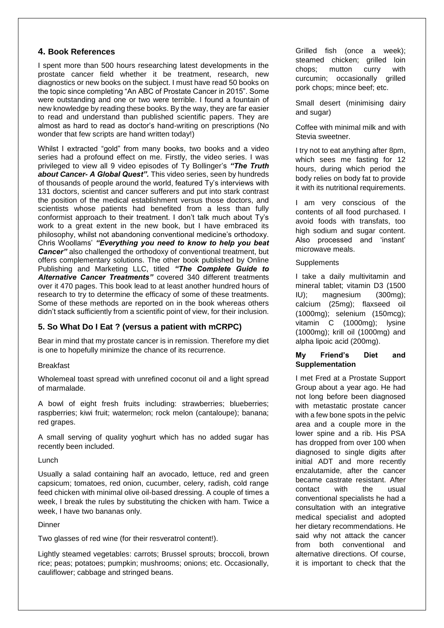## **4. Book References**

I spent more than 500 hours researching latest developments in the prostate cancer field whether it be treatment, research, new diagnostics or new books on the subject. I must have read 50 books on the topic since completing "An ABC of Prostate Cancer in 2015". Some were outstanding and one or two were terrible. I found a fountain of new knowledge by reading these books. By the way, they are far easier to read and understand than published scientific papers. They are almost as hard to read as doctor's hand-writing on prescriptions (No wonder that few scripts are hand written today!)

Whilst I extracted "gold" from many books, two books and a video series had a profound effect on me. Firstly, the video series. I was privileged to view all 9 video episodes of Ty Bollinger's *"The Truth about Cancer- A Global Quest".* This video series, seen by hundreds of thousands of people around the world, featured Ty's interviews with 131 doctors, scientist and cancer sufferers and put into stark contrast the position of the medical establishment versus those doctors, and scientists whose patients had benefited from a less than fully conformist approach to their treatment. I don't talk much about Ty's work to a great extent in the new book, but I have embraced its philosophy, whilst not abandoning conventional medicine's orthodoxy. Chris Woollams' *"Everything you need to know to help you beat Cancer"* also challenged the orthodoxy of conventional treatment, but offers complementary solutions. The other book published by Online Publishing and Marketing LLC, titled *"The Complete Guide to Alternative Cancer Treatments"* covered 340 different treatments over it 470 pages. This book lead to at least another hundred hours of research to try to determine the efficacy of some of these treatments. Some of these methods are reported on in the book whereas others didn't stack sufficiently from a scientific point of view, for their inclusion.

## **5. So What Do I Eat ? (versus a patient with mCRPC)**

Bear in mind that my prostate cancer is in remission. Therefore my diet is one to hopefully minimize the chance of its recurrence.

## Breakfast

Wholemeal toast spread with unrefined coconut oil and a light spread of marmalade.

A bowl of eight fresh fruits including: strawberries; blueberries; raspberries; kiwi fruit; watermelon; rock melon (cantaloupe); banana; red grapes.

A small serving of quality yoghurt which has no added sugar has recently been included.

### Lunch

Usually a salad containing half an avocado, lettuce, red and green capsicum; tomatoes, red onion, cucumber, celery, radish, cold range feed chicken with minimal olive oil-based dressing. A couple of times a week, I break the rules by substituting the chicken with ham. Twice a week, I have two bananas only.

## **Dinner**

Two glasses of red wine (for their resveratrol content!).

Lightly steamed vegetables: carrots; Brussel sprouts; broccoli, brown rice; peas; potatoes; pumpkin; mushrooms; onions; etc. Occasionally, cauliflower; cabbage and stringed beans.

Grilled fish (once a week); steamed chicken; grilled loin chops; mutton curry with curcumin; occasionally grilled pork chops; mince beef; etc.

Small desert (minimising dairy and sugar)

Coffee with minimal milk and with Stevia sweetner.

I try not to eat anything after 8pm, which sees me fasting for 12 hours, during which period the body relies on body fat to provide it with its nutritional requirements.

I am very conscious of the contents of all food purchased. I avoid foods with transfats, too high sodium and sugar content. Also processed and 'instant' microwave meals.

## **Supplements**

I take a daily multivitamin and mineral tablet; vitamin D3 (1500 IU); magnesium (300mg); calcium (25mg); flaxseed oil (1000mg); selenium (150mcg); vitamin C (1000mg); lysine (1000mg); krill oil (1000mg) and alpha lipoic acid (200mg).

## **My Friend's Diet and Supplementation**

I met Fred at a Prostate Support Group about a year ago. He had not long before been diagnosed with metastatic prostate cancer with a few bone spots in the pelvic area and a couple more in the lower spine and a rib. His PSA has dropped from over 100 when diagnosed to single digits after initial ADT and more recently enzalutamide, after the cancer became castrate resistant. After contact with the usual conventional specialists he had a consultation with an integrative medical specialist and adopted her dietary recommendations. He said why not attack the cancer from both conventional and alternative directions. Of course, it is important to check that the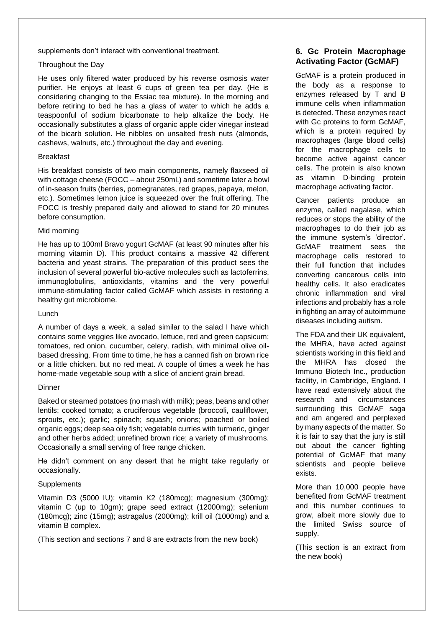supplements don't interact with conventional treatment.

### Throughout the Day

He uses only filtered water produced by his reverse osmosis water purifier. He enjoys at least 6 cups of green tea per day. (He is considering changing to the Essiac tea mixture). In the morning and before retiring to bed he has a glass of water to which he adds a teaspoonful of sodium bicarbonate to help alkalize the body. He occasionally substitutes a glass of organic apple cider vinegar instead of the bicarb solution. He nibbles on unsalted fresh nuts (almonds, cashews, walnuts, etc.) throughout the day and evening.

### Breakfast

His breakfast consists of two main components, namely flaxseed oil with cottage cheese (FOCC – about 250ml.) and sometime later a bowl of in-season fruits (berries, pomegranates, red grapes, papaya, melon, etc.). Sometimes lemon juice is squeezed over the fruit offering. The FOCC is freshly prepared daily and allowed to stand for 20 minutes before consumption.

### Mid morning

He has up to 100ml Bravo yogurt GcMAF (at least 90 minutes after his morning vitamin D). This product contains a massive 42 different bacteria and yeast strains. The preparation of this product sees the inclusion of several powerful bio-active molecules such as lactoferrins, immunoglobulins, antioxidants, vitamins and the very powerful immune-stimulating factor called GcMAF which assists in restoring a healthy gut microbiome.

## Lunch

A number of days a week, a salad similar to the salad I have which contains some veggies like avocado, lettuce, red and green capsicum; tomatoes, red onion, cucumber, celery, radish, with minimal olive oilbased dressing. From time to time, he has a canned fish on brown rice or a little chicken, but no red meat. A couple of times a week he has home-made vegetable soup with a slice of ancient grain bread.

### Dinner

Baked or steamed potatoes (no mash with milk); peas, beans and other lentils; cooked tomato; a cruciferous vegetable (broccoli, cauliflower, sprouts, etc.); garlic; spinach; squash; onions; poached or boiled organic eggs; deep sea oily fish; vegetable curries with turmeric, ginger and other herbs added; unrefined brown rice; a variety of mushrooms. Occasionally a small serving of free range chicken.

He didn't comment on any desert that he might take regularly or occasionally.

## **Supplements**

Vitamin D3 (5000 IU); vitamin K2 (180mcg); magnesium (300mg); vitamin C (up to 10gm); grape seed extract (12000mg); selenium (180mcg); zinc (15mg); astragalus (2000mg); krill oil (1000mg) and a vitamin B complex.

(This section and sections 7 and 8 are extracts from the new book)

## **6. Gc Protein Macrophage Activating Factor (GcMAF)**

GcMAF is a protein produced in the body as a response to enzymes released by T and B immune cells when inflammation is detected. These enzymes react with Gc proteins to form GcMAF, which is a protein required by macrophages (large blood cells) for the macrophage cells to become active against cancer cells. The protein is also known as vitamin D-binding protein macrophage activating factor.

Cancer patients produce an enzyme, called nagalase, which reduces or stops the ability of the macrophages to do their job as the immune system's 'director'. GcMAF treatment sees the macrophage cells restored to their full function that includes converting cancerous cells into healthy cells. It also eradicates chronic inflammation and viral infections and probably has a role in fighting an array of autoimmune diseases including autism.

The FDA and their UK equivalent, the MHRA, have acted against scientists working in this field and the MHRA has closed the Immuno Biotech Inc., production facility, in Cambridge, England, I have read extensively about the research and circumstances surrounding this GcMAF saga and am angered and perplexed by many aspects of the matter. So it is fair to say that the jury is still out about the cancer fighting potential of GcMAF that many scientists and people believe exists.

More than 10,000 people have benefited from GcMAF treatment and this number continues to grow, albeit more slowly due to the limited Swiss source of supply.

(This section is an extract from the new book)